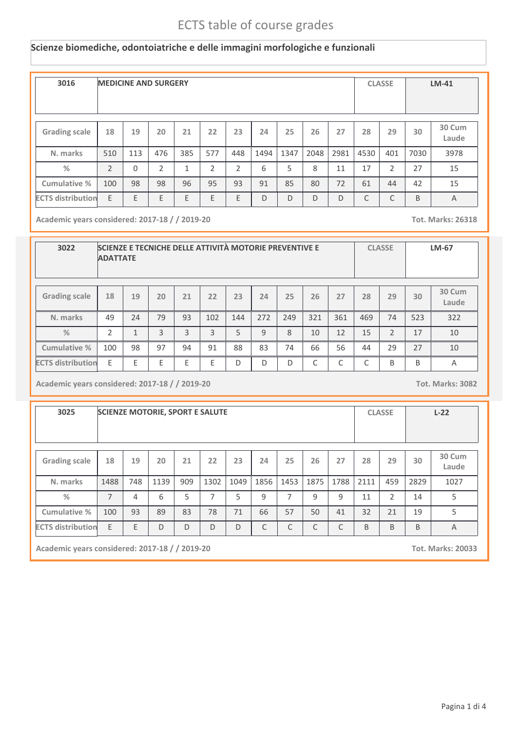#### **Scienze biomediche, odontoiatriche e delle immagini morfologiche e funzionali**

| 3016                     | <b>MEDICINE AND SURGERY</b> |          |     |              |     |     |      |      |      |      |      | <b>CLASSE</b>  |      | $LM-41$         |
|--------------------------|-----------------------------|----------|-----|--------------|-----|-----|------|------|------|------|------|----------------|------|-----------------|
| <b>Grading scale</b>     | 18                          | 19       | 20  | 21           | 22  | 23  | 24   | 25   | 26   | 27   | 28   | 29             | 30   | 30 Cum<br>Laude |
| N. marks                 | 510                         | 113      | 476 | 385          | 577 | 448 | 1494 | 1347 | 2048 | 2981 | 4530 | 401            | 7030 | 3978            |
| %                        | $\overline{2}$              | $\Omega$ | 2   | $\mathbf{1}$ | 2   | 2   | 6    | 5    | 8    | 11   | 17   | $\overline{2}$ | 27   | 15              |
| <b>Cumulative %</b>      | 100                         | 98       | 98  | 96           | 95  | 93  | 91   | 85   | 80   | 72   | 61   | 44             | 42   | 15              |
| <b>ECTS distribution</b> | E                           | E        | E   | E            | E   | E   | D    | D    | D    | D    | C    | C              | B    | $\overline{A}$  |

**Academic years considered: 2017-18 / / 2019-20 Tot. Marks: 26318**

| 3022                     | SCIENZE E TECNICHE DELLE ATTIVITÀ MOTORIE PREVENTIVE E<br><b>ADATTATE</b> |                |    |    |     |     |     |              |     |           |     | <b>CLASSE</b> |     | LM-67           |
|--------------------------|---------------------------------------------------------------------------|----------------|----|----|-----|-----|-----|--------------|-----|-----------|-----|---------------|-----|-----------------|
| <b>Grading scale</b>     | 18                                                                        | 19             | 20 | 21 | 22  | 23  | 24  | 25           | 26  | 27        | 28  | 29            | 30  | 30 Cum<br>Laude |
| N. marks                 | 49                                                                        | 24             | 79 | 93 | 102 | 144 | 272 | 249          | 321 | 361       | 469 | 74            | 523 | 322             |
| $\frac{0}{2}$            | $\mathfrak{D}$                                                            | $\overline{ }$ | 3  | 3  | 3   | 5   | 9   | $\mathbf{8}$ | 10  | 12        | 15  | 2             | 17  | 10              |
| Cumulative %             | 100                                                                       | 98             | 97 | 94 | 91  | 88  | 83  | 74           | 66  | 56        | 44  | 29            | 27  | 10              |
| <b>ECTS distribution</b> | F                                                                         | F              | F  | F  | F   | D   | D   | D            | C   | $\subset$ | C   | B             | B   | Α               |

**Academic years considered: 2017-18 / / 2019-20 Tot. Marks: 3082**

| 3025                     |                |     | <b>SCIENZE MOTORIE, SPORT E SALUTE</b> |     |      |      |      |                |      |              |      | <b>CLASSE</b> |      | $L-22$          |
|--------------------------|----------------|-----|----------------------------------------|-----|------|------|------|----------------|------|--------------|------|---------------|------|-----------------|
| <b>Grading scale</b>     | 18             | 19  | 20                                     | 21  | 22   | 23   | 24   | 25             | 26   | 27           | 28   | 29            | 30   | 30 Cum<br>Laude |
| N. marks                 | 1488           | 748 | 1139                                   | 909 | 1302 | 1049 | 1856 | 1453           | 1875 | 1788         | 2111 | 459           | 2829 | 1027            |
| $\frac{9}{6}$            | $\overline{7}$ | 4   | 6                                      | 5   | 7    | 5    | 9    | $\overline{7}$ | 9    | 9            | 11   | 2             | 14   | 5               |
| Cumulative %             | 100            | 93  | 89                                     | 83  | 78   | 71   | 66   | 57             | 50   | 41           | 32   | 21            | 19   | 5               |
| <b>ECTS distribution</b> | E              | F   | $\mathsf{D}$                           | D   | D    | D    | C    | C              | C    | $\mathsf{C}$ | B    | B             | B    | $\overline{A}$  |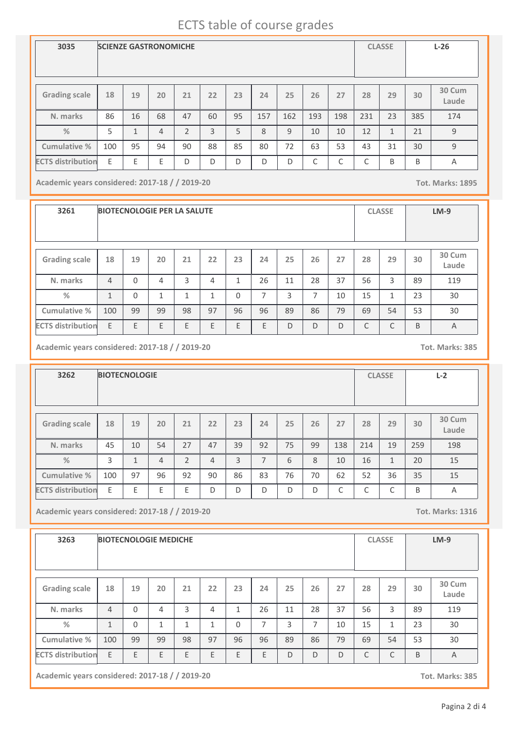| 3035                     | <b>SCIENZE GASTRONOMICHE</b> |    |                |    |    |    |     |     |            |     |     | <b>CLASSE</b> |     | $L-26$          |
|--------------------------|------------------------------|----|----------------|----|----|----|-----|-----|------------|-----|-----|---------------|-----|-----------------|
| <b>Grading scale</b>     | 18                           | 19 | 20             | 21 | 22 | 23 | 24  | 25  | 26         | 27  | 28  | 29            | 30  | 30 Cum<br>Laude |
| N. marks                 | 86                           | 16 | 68             | 47 | 60 | 95 | 157 | 162 | 193        | 198 | 231 | 23            | 385 | 174             |
| $\frac{0}{2}$            | 5                            | 1  | $\overline{4}$ | 2  | 3  | 5  | 8   | 9   | 10         | 10  | 12  | $\mathbf{1}$  | 21  | 9               |
| Cumulative %             | 100                          | 95 | 94             | 90 | 88 | 85 | 80  | 72  | 63         | 53  | 43  | 31            | 30  | 9               |
| <b>ECTS distribution</b> | E                            | E  | E              | D  | D  | D  | D   | D   | $\sqrt{2}$ | C   | C   | B             | B   | A               |

**Academic years considered: 2017-18 / / 2019-20 Tot. Marks: 1895**

**3261 BIOTECNOLOGIE PER LA SALUTE CLASSE LM-9 Grading scale 18 N. marks Cumulative % %** 4 **19** 0 **20** 4 **<sup>21</sup> <sup>22</sup> <sup>23</sup> <sup>24</sup> <sup>25</sup> <sup>26</sup> <sup>27</sup> <sup>28</sup> <sup>29</sup> 30 Cum Laude** 3 | 4 | 1 | 26 | 11 | 28 | 37 | 56 | 3 | 89 | 119 **30** 89 1 0 1 1 1 0 7 3 7 10 15 1 23 30 100 99 99 98 97 96 96 89 86 79 69 54 53 30 **ECTS distribution** E E E E E E E D D D C C B A

**Academic years considered: 2017-18 / / 2019-20 Tot. Marks: 385**

| 3262                     |     | <b>BIOTECNOLOGIE</b> |                |    |    |    |    |    |    |     |                 | <b>CLASSE</b> |     | $L-2$           |
|--------------------------|-----|----------------------|----------------|----|----|----|----|----|----|-----|-----------------|---------------|-----|-----------------|
|                          |     |                      |                |    |    |    |    |    |    |     |                 |               |     |                 |
| <b>Grading scale</b>     | 18  | 19                   | 20             | 21 | 22 | 23 | 24 | 25 | 26 | 27  | 28              | 29            | 30  | 30 Cum<br>Laude |
| N. marks                 | 45  | 10                   | 54             | 27 | 47 | 39 | 92 | 75 | 99 | 138 | 214             | 19            | 259 | 198             |
| $\frac{9}{6}$            | 3   | 1                    | $\overline{4}$ | 2  | 4  | 3  | 7  | 6  | 8  | 10  | 16              | $\mathbf{1}$  | 20  | 15              |
| Cumulative %             | 100 | 97                   | 96             | 92 | 90 | 86 | 83 | 76 | 70 | 62  | 52              | 36            | 35  | 15              |
| <b>ECTS distribution</b> | E   | F                    | E              | E  | D  | D  | D  | D  | D  | C   | $\sqrt{2}$<br>U | C             | B   | Α               |

**Academic years considered: 2017-18 / / 2019-20 Tot. Marks: 1316**

| 3263                     |                |          | <b>BIOTECNOLOGIE MEDICHE</b> |    |                |              |    |    |    |    |    | <b>CLASSE</b> |    | $LM-9$          |
|--------------------------|----------------|----------|------------------------------|----|----------------|--------------|----|----|----|----|----|---------------|----|-----------------|
| <b>Grading scale</b>     | 18             | 19       | 20                           | 21 | 22             | 23           | 24 | 25 | 26 | 27 | 28 | 29            | 30 | 30 Cum<br>Laude |
| N. marks                 | $\overline{4}$ | $\Omega$ | 4                            | 3  | $\overline{4}$ | $\mathbf{1}$ | 26 | 11 | 28 | 37 | 56 | 3             | 89 | 119             |
| $\frac{0}{2}$            | $\mathbf{1}$   | $\Omega$ | $\mathbf{1}$                 | 1  | 1              | $\Omega$     | 7  | 3  | 7  | 10 | 15 | $\mathbf{1}$  | 23 | 30              |
| Cumulative %             | 100            | 99       | 99                           | 98 | 97             | 96           | 96 | 89 | 86 | 79 | 69 | 54            | 53 | 30              |
| <b>ECTS distribution</b> | E              | E        | E                            | E  | E              | E            | E  | D  | D  | D  | C  | C             | B  | $\overline{A}$  |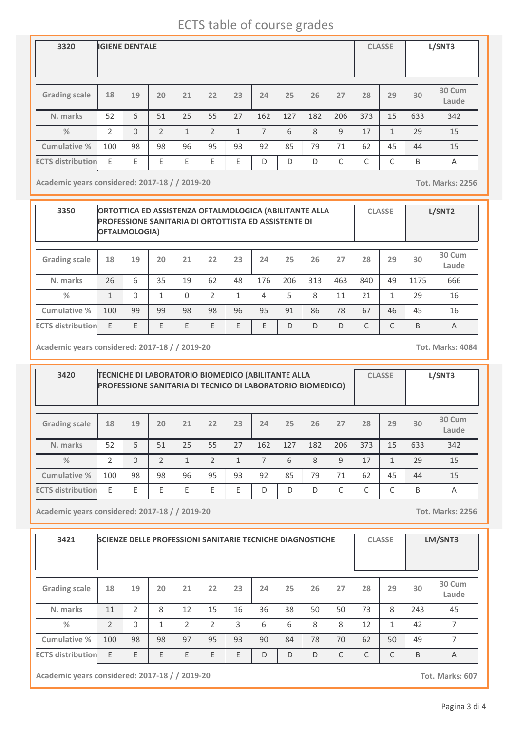| 3320                     |               | <b>IGIENE DENTALE</b> |                |              |                |              |     |     |     |     |     | <b>CLASSE</b> |     | L/SNT3          |
|--------------------------|---------------|-----------------------|----------------|--------------|----------------|--------------|-----|-----|-----|-----|-----|---------------|-----|-----------------|
| <b>Grading scale</b>     | 18            | 19                    | 20             | 21           | 22             | 23           | 24  | 25  | 26  | 27  | 28  | 29            | 30  | 30 Cum<br>Laude |
| N. marks                 | 52            | 6                     | 51             | 25           | 55             | 27           | 162 | 127 | 182 | 206 | 373 | 15            | 633 | 342             |
| $\frac{9}{6}$            | $\mathcal{P}$ | $\Omega$              | $\overline{2}$ | $\mathbf{1}$ | $\overline{2}$ | $\mathbf{1}$ | 7   | 6   | 8   | 9   | 17  | $\mathbf{1}$  | 29  | 15              |
| Cumulative %             | 100           | 98                    | 98             | 96           | 95             | 93           | 92  | 85  | 79  | 71  | 62  | 45            | 44  | 15              |
| <b>ECTS distribution</b> | E             | E                     | E              | E            | Ε              | Ε            | D   | D   | D   | C   | C   | ⌒<br>J        | B   | A               |

**Academic years considered: 2017-18 / / 2019-20 Tot. Marks: 2256**

| 3350                     | ORTOTTICA ED ASSISTENZA OFTALMOLOGICA (ABILITANTE ALLA<br><b>PROFESSIONE SANITARIA DI ORTOTTISTA ED ASSISTENTE DI</b><br>OFTALMOLOGIA) |          |    |          |    |    |     |     |     |     |     | <b>CLASSE</b> |      | L/SNT2          |
|--------------------------|----------------------------------------------------------------------------------------------------------------------------------------|----------|----|----------|----|----|-----|-----|-----|-----|-----|---------------|------|-----------------|
| <b>Grading scale</b>     | 18                                                                                                                                     | 19       | 20 | 21       | 22 | 23 | 24  | 25  | 26  | 27  | 28  | 29            | 30   | 30 Cum<br>Laude |
| N. marks                 | 26                                                                                                                                     | 6        | 35 | 19       | 62 | 48 | 176 | 206 | 313 | 463 | 840 | 49            | 1175 | 666             |
| $\frac{0}{2}$            | 1                                                                                                                                      | $\Omega$ | 1  | $\Omega$ | C  | 1  | 4   | 5   | 8   | 11  | 21  | 1             | 29   | 16              |
| Cumulative %             | 100                                                                                                                                    | 99       | 99 | 98       | 98 | 96 | 95  | 91  | 86  | 78  | 67  | 46            | 45   | 16              |
| <b>ECTS distribution</b> | E                                                                                                                                      | F        | E  | E        | E  | E  | E   | D   | D   | D   | C   | C             | B    | A               |

**Academic years considered: 2017-18 / / 2019-20 Tot. Marks: 4084**

| 3420                     | TECNICHE DI LABORATORIO BIOMEDICO (ABILITANTE ALLA<br>PROFESSIONE SANITARIA DI TECNICO DI LABORATORIO BIOMEDICO) |          |                |                         |                |              |     |     |                 |              |        | <b>CLASSE</b> |     | L/SNT3 |
|--------------------------|------------------------------------------------------------------------------------------------------------------|----------|----------------|-------------------------|----------------|--------------|-----|-----|-----------------|--------------|--------|---------------|-----|--------|
| <b>Grading scale</b>     | 18                                                                                                               | 19       | 20             | 21                      | 22             | 28           | 29  | 30  | 30 Cum<br>Laude |              |        |               |     |        |
| N. marks                 | 52                                                                                                               | 6        | 51             | 25                      | 55             | 27           | 162 | 127 | 182             | 206          | 373    | 15            | 633 | 342    |
| $\frac{0}{2}$            | $\mathfrak{D}$                                                                                                   | $\Omega$ | $\mathfrak{D}$ | $\mathbf{\overline{1}}$ | $\mathfrak{D}$ | $\mathbf{1}$ | 7   | 6   | 8               | 9            | 17     | 1             | 29  | 15     |
| Cumulative %             | 100                                                                                                              | 98       | 98             | 96                      | 95             | 93           | 92  | 85  | 79              | 71           | 62     | 45            | 44  | 15     |
| <b>ECTS distribution</b> | E                                                                                                                | F        | F              | F                       | F              | F            | D   | D   | D               | $\mathsf{C}$ | ┌<br>◡ | $\sqrt{2}$    | B   | A      |

**Academic years considered: 2017-18 / / 2019-20 Tot. Marks: 2256**

| 3421                     |     |                | <b>SCIENZE DELLE PROFESSIONI SANITARIE TECNICHE DIAGNOSTICHE</b> |    |    |    |    |    |    |    |    | <b>CLASSE</b> |     | LM/SNT3                  |
|--------------------------|-----|----------------|------------------------------------------------------------------|----|----|----|----|----|----|----|----|---------------|-----|--------------------------|
| <b>Grading scale</b>     | 18  | 19             | 20                                                               | 21 | 22 | 23 | 24 | 25 | 26 | 27 | 28 | 29            | 30  | 30 Cum<br>Laude          |
| N. marks                 | 11  | $\overline{2}$ | 8                                                                | 12 | 15 | 16 | 36 | 38 | 50 | 50 | 73 | 8             | 243 | 45                       |
| %                        | 2   | $\Omega$       | $\mathbf{1}$                                                     | 2  | 2  | 3  | 6  | 6  | 8  | 8  | 12 | 1             | 42  | 7                        |
| Cumulative %             | 100 | 98             | 98                                                               | 97 | 95 | 93 | 90 | 84 | 78 | 70 | 62 | 50            | 49  | $\overline{\phantom{a}}$ |
| <b>ECTS distribution</b> | E   | E              | E                                                                | E  | E  | E  | D  | D  | D  | C  | C  | C             | B   | A                        |